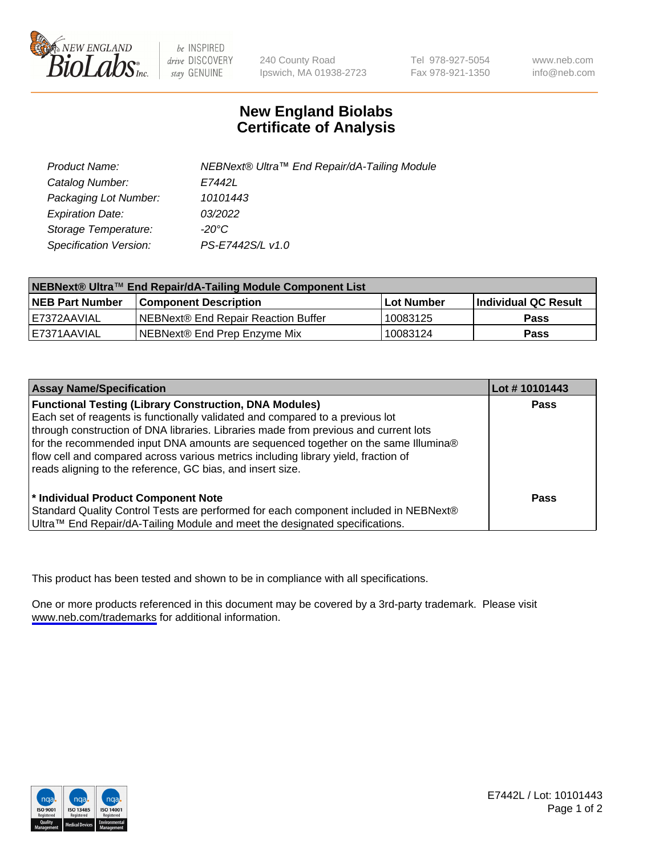

be INSPIRED drive DISCOVERY stay GENUINE

240 County Road Ipswich, MA 01938-2723 Tel 978-927-5054 Fax 978-921-1350

www.neb.com info@neb.com

## **New England Biolabs Certificate of Analysis**

| Product Name:           | NEBNext® Ultra™ End Repair/dA-Tailing Module |
|-------------------------|----------------------------------------------|
| Catalog Number:         | E7442L                                       |
| Packaging Lot Number:   | 10101443                                     |
| <b>Expiration Date:</b> | 03/2022                                      |
| Storage Temperature:    | -20°C                                        |
| Specification Version:  | PS-E7442S/L v1.0                             |

| NEBNext® Ultra™ End Repair/dA-Tailing Module Component List |                                     |              |                      |  |
|-------------------------------------------------------------|-------------------------------------|--------------|----------------------|--|
| <b>NEB Part Number</b>                                      | <b>Component Description</b>        | l Lot Number | Individual QC Result |  |
| E7372AAVIAL                                                 | NEBNext® End Repair Reaction Buffer | 10083125     | <b>Pass</b>          |  |
| IE7371AAVIAL                                                | NEBNext® End Prep Enzyme Mix        | 10083124     | <b>Pass</b>          |  |

| <b>Assay Name/Specification</b>                                                                                                                                                                                                                                                                                                                                                                                                                                                  | Lot #10101443 |
|----------------------------------------------------------------------------------------------------------------------------------------------------------------------------------------------------------------------------------------------------------------------------------------------------------------------------------------------------------------------------------------------------------------------------------------------------------------------------------|---------------|
| <b>Functional Testing (Library Construction, DNA Modules)</b><br>Each set of reagents is functionally validated and compared to a previous lot<br>through construction of DNA libraries. Libraries made from previous and current lots<br>for the recommended input DNA amounts are sequenced together on the same Illumina®<br>flow cell and compared across various metrics including library yield, fraction of<br>reads aligning to the reference, GC bias, and insert size. | <b>Pass</b>   |
| * Individual Product Component Note<br>Standard Quality Control Tests are performed for each component included in NEBNext®<br>Ultra™ End Repair/dA-Tailing Module and meet the designated specifications.                                                                                                                                                                                                                                                                       | Pass          |

This product has been tested and shown to be in compliance with all specifications.

One or more products referenced in this document may be covered by a 3rd-party trademark. Please visit <www.neb.com/trademarks>for additional information.